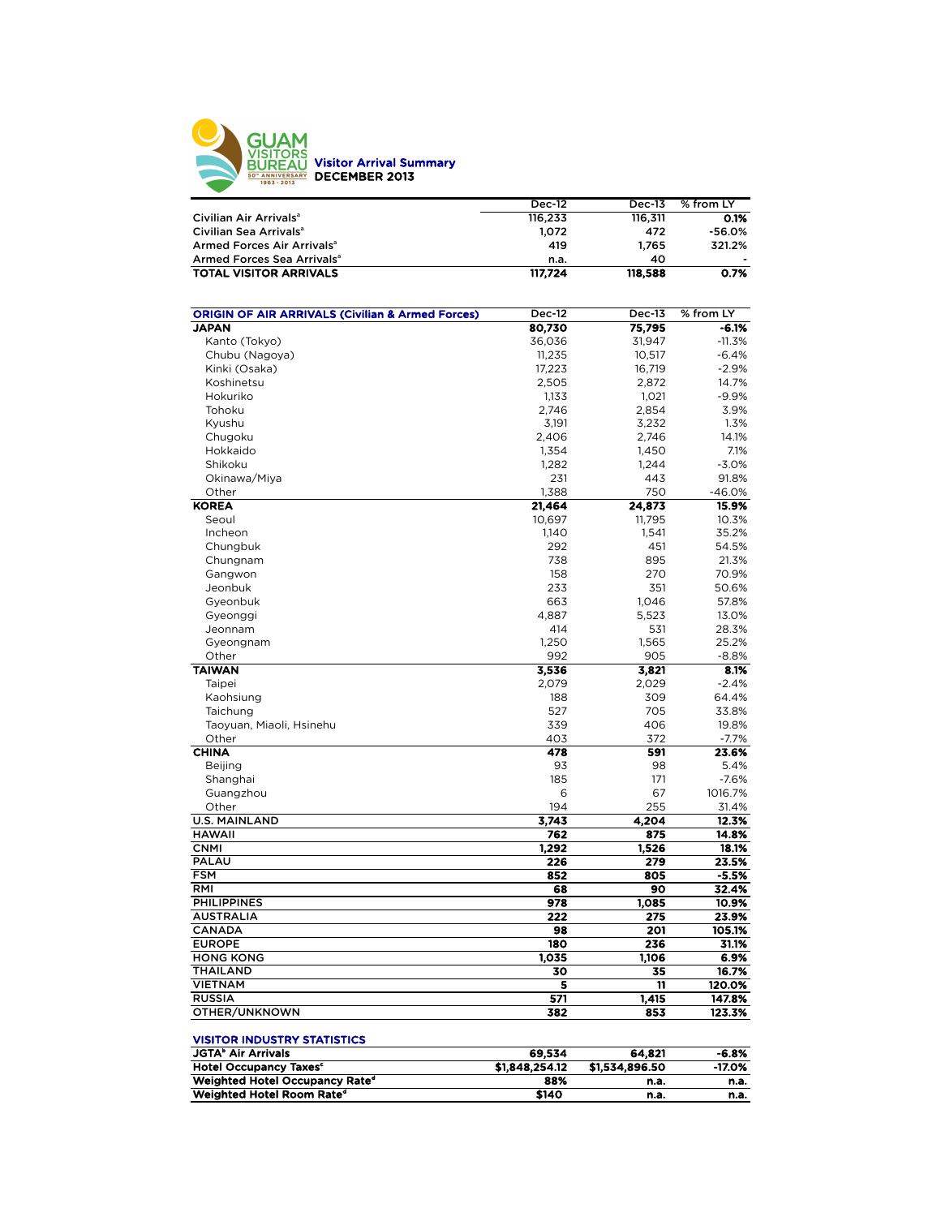

|                                        | <b>Dec-12</b> | <b>Dec-13</b> | % from LY |
|----------------------------------------|---------------|---------------|-----------|
| Civilian Air Arrivals <sup>a</sup>     | 116.233       | 116.311       | 0.1%      |
| Civilian Sea Arrivals <sup>a</sup>     | 1.072         | 472           | -56.0%    |
| Armed Forces Air Arrivals <sup>a</sup> | 419           | 1.765         | 321.2%    |
| Armed Forces Sea Arrivals <sup>a</sup> | n.a.          | 40            |           |
| <b>TOTAL VISITOR ARRIVALS</b>          | 117.724       | 118,588       | 0.7%      |

| <b>ORIGIN OF AIR ARRIVALS (Civilian &amp; Armed Forces)</b> | Dec-12          | <b>Dec-13</b>  | % from LY |
|-------------------------------------------------------------|-----------------|----------------|-----------|
| <b>JAPAN</b>                                                | 80,730          | 75,795         | $-6.1%$   |
| Kanto (Tokyo)                                               | 36,036          | 31,947         | $-11.3%$  |
| Chubu (Nagoya)                                              | 11,235          | 10,517         | $-6.4%$   |
| Kinki (Osaka)                                               | 17,223          | 16,719         | $-2.9%$   |
| Koshinetsu                                                  | 2,505           | 2,872          | 14.7%     |
| Hokuriko                                                    | 1,133           | 1.021          | $-9.9%$   |
| Tohoku                                                      | 2,746           | 2,854          | 3.9%      |
| Kyushu                                                      | 3,191           | 3,232          | 1.3%      |
| Chugoku                                                     | 2,406           | 2,746          | 14.1%     |
| Hokkaido                                                    | 1,354           | 1,450          | 7.1%      |
| Shikoku                                                     | 1,282           | 1,244          | $-3.0%$   |
| Okinawa/Miya                                                | 231             | 443            | 91.8%     |
| Other                                                       | 1,388           | 750            | $-46.0%$  |
| <b>KOREA</b>                                                | 21,464          | 24,873         | 15.9%     |
| Seoul                                                       | 10,697          | 11,795         | 10.3%     |
| Incheon                                                     | 1,140           | 1,541          | 35.2%     |
| Chungbuk                                                    | 292             | 451            | 54.5%     |
| Chungnam                                                    | 738             | 895            | 21.3%     |
| Gangwon                                                     | 158             | 270            | 70.9%     |
| Jeonbuk                                                     | 233             | 351            | 50.6%     |
| Gyeonbuk                                                    | 663             | 1,046          | 57.8%     |
| Gyeonggi                                                    | 4,887           | 5,523          | 13.0%     |
| Jeonnam                                                     | 414             | 531            | 28.3%     |
| Gyeongnam                                                   | 1,250           | 1,565          | 25.2%     |
| Other                                                       | 992             | 905            | $-8.8%$   |
| <b>TAIWAN</b>                                               | 3,536           | 3,821          | 8.1%      |
| Taipei                                                      | 2,079           | 2,029          | $-2.4%$   |
| Kaohsiung                                                   | 188             | 309            | 64.4%     |
| Taichung                                                    | 527             | 705            | 33.8%     |
| Taoyuan, Miaoli, Hsinehu                                    | 339             | 406            | 19.8%     |
| Other                                                       | 403             | 372            | $-7.7%$   |
| <b>CHINA</b>                                                | 478             | 591            | 23.6%     |
| <b>Beijing</b>                                              | 93              | 98             | 5.4%      |
| Shanghai                                                    | 185             | 171            | $-7.6%$   |
| Guangzhou                                                   | 6               | 67             | 1016.7%   |
| Other                                                       | 194             | 255            | 31.4%     |
| <b>U.S. MAINLAND</b>                                        | 3,743           | 4,204          | 12.3%     |
| <b>HAWAII</b>                                               | 762             | 875            | 14.8%     |
| <b>CNMI</b>                                                 | 1,292           | 1,526          | 18.1%     |
| <b>PALAU</b>                                                | 226             | 279            | 23.5%     |
| <b>FSM</b>                                                  | 852             | 805            | -5.5%     |
| RMI                                                         | 68              | 90             | 32.4%     |
| <b>PHILIPPINES</b>                                          | 978             | 1,085          | 10.9%     |
| <b>AUSTRALIA</b>                                            | 222             | 275            | 23.9%     |
| <b>CANADA</b>                                               | 98              | 201            | 105.1%    |
| <b>EUROPE</b>                                               | 180             | 236            | 31.1%     |
| <b>HONG KONG</b>                                            | 1,035           | 1,106          | 6.9%      |
| <b>THAILAND</b>                                             | 30              | 35             | 16.7%     |
| <b>VIETNAM</b>                                              | 5               | 11             | 120.0%    |
| <b>RUSSIA</b>                                               | $5\overline{7}$ | 1,415          | 147.8%    |
| OTHER/UNKNOWN                                               | 382             | 853            | 123.3%    |
|                                                             |                 |                |           |
| <b>VISITOR INDUSTRY STATISTICS</b>                          |                 |                |           |
| JGTA <sup>b</sup> Air Arrivals                              | 69,534          | 64,821         | $-6.8%$   |
| Hotel Occupancy Taxes <sup>c</sup>                          | \$1,848,254.12  | \$1,534,896.50 | -17.0%    |
| Weighted Hotel Occupancy Rate <sup>d</sup>                  | 88%             | n.a.           | n.a.      |

Weighted Hotel Room Rated \$140 n.a. n.a.